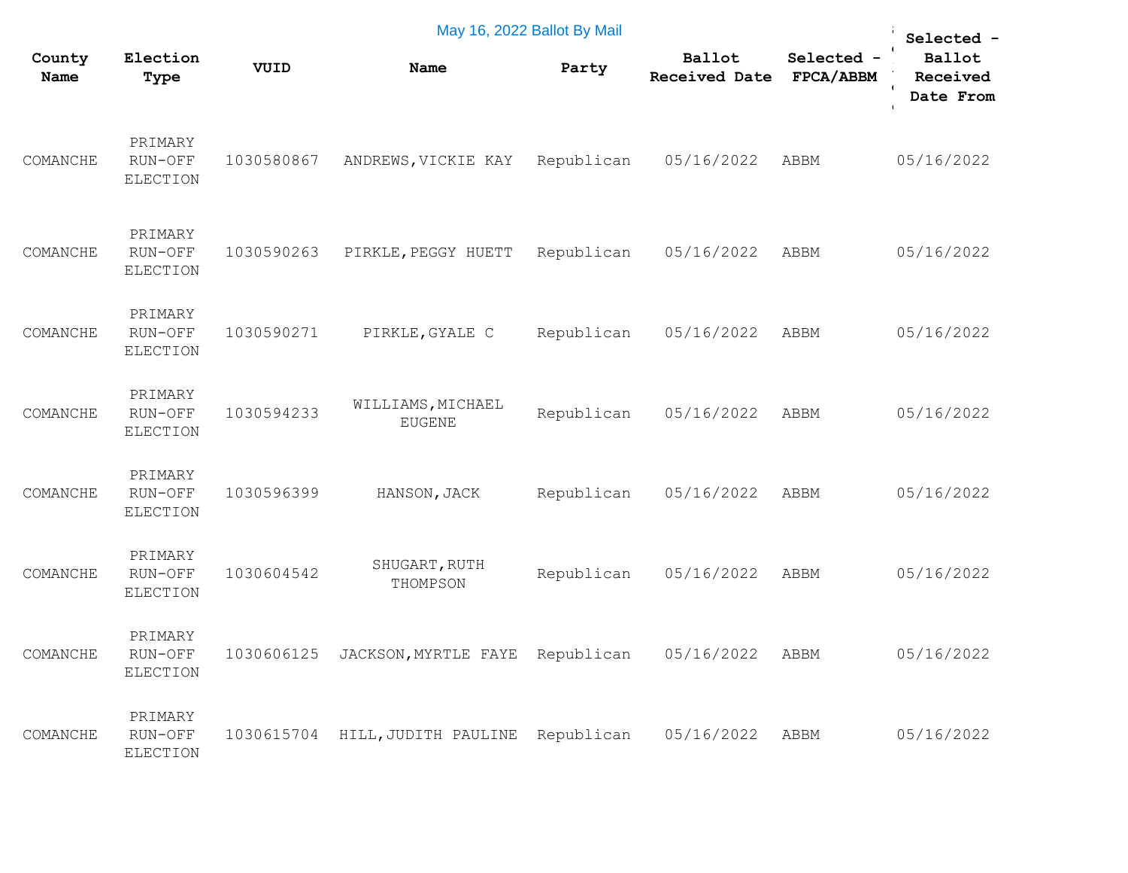| May 16, 2022 Ballot By Mail |                                       |            |                                    |            |                                |                         |                                               |  |  |  |
|-----------------------------|---------------------------------------|------------|------------------------------------|------------|--------------------------------|-------------------------|-----------------------------------------------|--|--|--|
| County<br>Name              | Election<br>Type                      | VUID       | Name                               | Party      | Ballot<br><b>Received Date</b> | Selected -<br>FPCA/ABBM | Selected -<br>Ballot<br>Received<br>Date From |  |  |  |
| COMANCHE                    | PRIMARY<br>RUN-OFF<br><b>ELECTION</b> | 1030580867 | ANDREWS, VICKIE KAY                | Republican | 05/16/2022                     | ABBM                    | 05/16/2022                                    |  |  |  |
| COMANCHE                    | PRIMARY<br>RUN-OFF<br><b>ELECTION</b> | 1030590263 | PIRKLE, PEGGY HUETT                | Republican | 05/16/2022                     | ABBM                    | 05/16/2022                                    |  |  |  |
| COMANCHE                    | PRIMARY<br>RUN-OFF<br><b>ELECTION</b> | 1030590271 | PIRKLE, GYALE C                    | Republican | 05/16/2022                     | ABBM                    | 05/16/2022                                    |  |  |  |
| COMANCHE                    | PRIMARY<br>RUN-OFF<br><b>ELECTION</b> | 1030594233 | WILLIAMS, MICHAEL<br><b>EUGENE</b> | Republican | 05/16/2022                     | ABBM                    | 05/16/2022                                    |  |  |  |
| COMANCHE                    | PRIMARY<br>RUN-OFF<br><b>ELECTION</b> | 1030596399 | HANSON, JACK                       | Republican | 05/16/2022                     | ABBM                    | 05/16/2022                                    |  |  |  |
| COMANCHE                    | PRIMARY<br>RUN-OFF<br><b>ELECTION</b> | 1030604542 | SHUGART, RUTH<br>THOMPSON          | Republican | 05/16/2022                     | ABBM                    | 05/16/2022                                    |  |  |  |
| COMANCHE                    | PRIMARY<br>RUN-OFF<br>ELECTION        | 1030606125 | JACKSON, MYRTLE FAYE               | Republican | 05/16/2022                     | ABBM                    | 05/16/2022                                    |  |  |  |
| COMANCHE                    | PRIMARY<br>RUN-OFF<br><b>ELECTION</b> | 1030615704 | HILL, JUDITH PAULINE               | Republican | 05/16/2022                     | ABBM                    | 05/16/2022                                    |  |  |  |